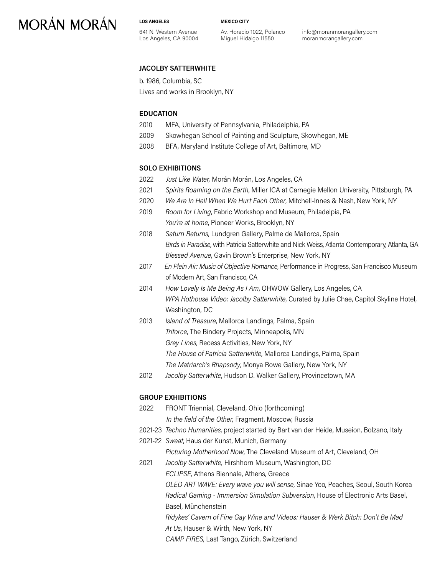**LOS ANGELES**

641 N. Western Avenue Los Angeles, CA 90004 **MEXICO CITY**

Av. Horacio 1022, Polanco Miguel Hidalgo 11550

info@moranmorangallery.com moranmorangallery.com

### **JACOLBY SATTERWHITE**

b. 1986, Columbia, SC

Lives and works in Brooklyn, NY

### **EDUCATION**

- 2010 MFA, University of Pennsylvania, Philadelphia, PA
- 2009 Skowhegan School of Painting and Sculpture, Skowhegan, ME
- 2008 BFA, Maryland Institute College of Art, Baltimore, MD

#### **SOLO EXHIBITIONS**

- 2022 *Just Like Water,* Morán Morán, Los Angeles, CA
- 2021 *Spirits Roaming on the Earth*, Miller ICA at Carnegie Mellon University, Pittsburgh, PA
- 2020 *We Are In Hell When We Hurt Each Other*, Mitchell-Innes & Nash, New York, NY
- 2019 *Room for Living*, Fabric Workshop and Museum, Philadelpia, PA *You're at home*, Pioneer Works, Brooklyn, NY
- 2018 *Saturn Returns*, Lundgren Gallery, Palme de Mallorca, Spain *Birds in Paradise*, with Patricia Satterwhite and Nick Weiss, Atlanta Contemporary, Atlanta, GA *Blessed Avenue*, Gavin Brown's Enterprise, New York, NY
- 2017 *En Plein Air: Music of Objective Romance*, Performance in Progress, San Francisco Museum of Modern Art, San Francisco, CA
- 2014 *How Lovely Is Me Being As I Am*, OHWOW Gallery, Los Angeles, CA *WPA Hothouse Video: Jacolby Satterwhite*, Curated by Julie Chae, Capitol Skyline Hotel, Washington, DC
- 2013 *Island of Treasure*, Mallorca Landings, Palma, Spain *Triforce*, The Bindery Projects, Minneapolis, MN *Grey Lines*, Recess Activities, New York, NY *The House of Patricia Satterwhite*, Mallorca Landings, Palma, Spain *The Matriarch's Rhapsody*, Monya Rowe Gallery, New York, NY
	- 2012 *Jacolby Satterwhite*, Hudson D. Walker Gallery, Provincetown, MA

#### **GROUP EXHIBITIONS**

- 2022 FRONT Triennial, Cleveland, Ohio (forthcoming) *In the field of the Other,* Fragment, Moscow, Russia 2021-23 *Techno Humanities*, project started by Bart van der Heide, Museion, Bolzano, Italy
- 2021-22 *Sweat*, Haus der Kunst, Munich, Germany

*Picturing Motherhood Now*, The Cleveland Museum of Art, Cleveland, OH

2021 *Jacolby Satterwhite,* Hirshhorn Museum, Washington, DC  *ECLIPSE*, Athens Biennale, Athens, Greece *OLED ART WAVE: Every wave you will sense*, Sinae Yoo, Peaches, Seoul, South Korea *Radical Gaming - Immersion Simulation Subversion*, House of Electronic Arts Basel, Basel, Münchenstein *Ridykes' Cavern of Fine Gay Wine and Videos: Hauser & Werk Bitch: Don't Be Mad*

*At Us*, Hauser & Wirth, New York, NY

*CAMP FIRES*, Last Tango, Zürich, Switzerland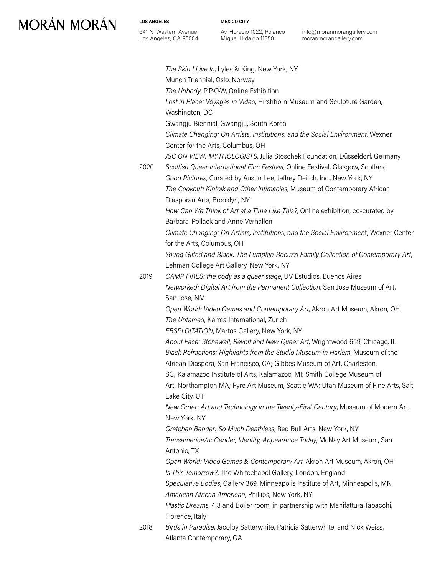**LOS ANGELES**

**MEXICO CITY**

641 N. Western Avenue Los Angeles, CA 90004 Av. Horacio 1022, Polanco Miguel Hidalgo 11550

info@moranmorangallery.com moranmorangallery.com

|      | The Skin I Live In, Lyles & King, New York, NY                                        |
|------|---------------------------------------------------------------------------------------|
|      | Munch Triennial, Oslo, Norway                                                         |
|      | The Unbody, P.P.O.W, Online Exhibition                                                |
|      | Lost in Place: Voyages in Video, Hirshhorn Museum and Sculpture Garden,               |
|      | Washington, DC                                                                        |
|      | Gwangju Biennial, Gwangju, South Korea                                                |
|      | Climate Changing: On Artists, Institutions, and the Social Environment, Wexner        |
|      | Center for the Arts, Columbus, OH                                                     |
|      | JSC ON VIEW: MYTHOLOGISTS, Julia Stoschek Foundation, Düsseldorf, Germany             |
| 2020 | Scottish Queer International Film Festival, Online Festival, Glasgow, Scotland        |
|      | Good Pictures, Curated by Austin Lee, Jeffrey Deitch, Inc., New York, NY              |
|      | The Cookout: Kinfolk and Other Intimacies, Museum of Contemporary African             |
|      | Diasporan Arts, Brooklyn, NY                                                          |
|      | How Can We Think of Art at a Time Like This?, Online exhibition, co-curated by        |
|      | Barbara Pollack and Anne Verhallen                                                    |
|      | Climate Changing: On Artists, Institutions, and the Social Environment, Wexner Center |
|      | for the Arts, Columbus, OH                                                            |
|      | Young Gifted and Black: The Lumpkin-Bocuzzi Family Collection of Contemporary Art,    |
|      | Lehman College Art Gallery, New York, NY                                              |
| 2019 | CAMP FIRES: the body as a queer stage, UV Estudios, Buenos Aires                      |
|      | Networked: Digital Art from the Permanent Collection, San Jose Museum of Art,         |
|      | San Jose, NM                                                                          |
|      | Open World: Video Games and Contemporary Art, Akron Art Museum, Akron, OH             |
|      | The Untamed, Karma International, Zurich                                              |
|      | EBSPLOITATION, Martos Gallery, New York, NY                                           |
|      | About Face: Stonewall, Revolt and New Queer Art, Wrightwood 659, Chicago, IL          |
|      | Black Refractions: Highlights from the Studio Museum in Harlem, Museum of the         |
|      | African Diaspora, San Francisco, CA; Gibbes Museum of Art, Charleston,                |
|      | SC; Kalamazoo Institute of Arts, Kalamazoo, MI; Smith College Museum of               |
|      | Art, Northampton MA; Fyre Art Museum, Seattle WA; Utah Museum of Fine Arts, Salt      |
|      | Lake City, UT                                                                         |
|      | New Order: Art and Technology in the Twenty-First Century, Museum of Modern Art,      |
|      | New York, NY                                                                          |
|      | Gretchen Bender: So Much Deathless, Red Bull Arts, New York, NY                       |
|      | Transamerica/n: Gender, Identity, Appearance Today, McNay Art Museum, San             |
|      | Antonio, TX                                                                           |
|      | Open World: Video Games & Contemporary Art, Akron Art Museum, Akron, OH               |
|      | Is This Tomorrow?, The Whitechapel Gallery, London, England                           |
|      | Speculative Bodies, Gallery 369, Minneapolis Institute of Art, Minneapolis, MN        |
|      | American African American, Phillips, New York, NY                                     |
|      | Plastic Dreams, 4:3 and Boiler room, in partnership with Manifattura Tabacchi,        |
|      | Florence, Italy                                                                       |
| 2018 | Birds in Paradise, Jacolby Satterwhite, Patricia Satterwhite, and Nick Weiss,         |
|      | Atlanta Contemporary, GA                                                              |
|      |                                                                                       |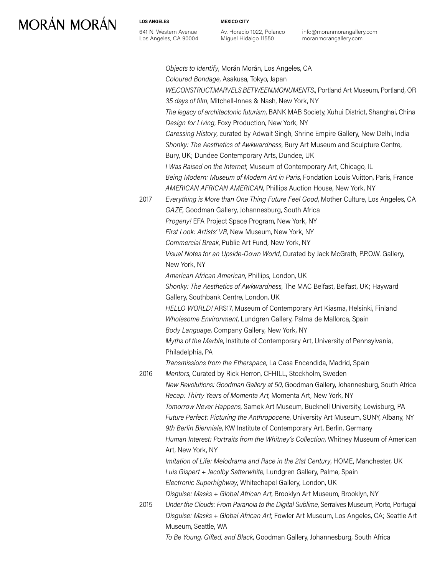### **LOS ANGELES**

641 N. Western Avenue Los Angeles, CA 90004 **MEXICO CITY**

Av. Horacio 1022, Polanco Miguel Hidalgo 11550

info@moranmorangallery.com moranmorangallery.com

*Objects to Identify*, Morán Morán, Los Angeles, CA *Coloured Bondage*, Asakusa, Tokyo, Japan *WE.CONSTRUCT.MARVELS.BETWEEN.MONUMENTS.*, Portland Art Museum, Portland, OR *35 days of film*, Mitchell-Innes & Nash, New York, NY *The legacy of architectonic futurism*, BANK MAB Society, Xuhui District, Shanghai, China *Design for Living*, Foxy Production, New York, NY *Caressing History*, curated by Adwait Singh, Shrine Empire Gallery, New Delhi, India *Shonky: The Aesthetics of Awkwardness*, Bury Art Museum and Sculpture Centre, Bury, UK; Dundee Contemporary Arts, Dundee, UK *I Was Raised on the Internet*, Museum of Contemporary Art, Chicago, IL *Being Modern: Museum of Modern Art in Paris*, Fondation Louis Vuitton, Paris, France *AMERICAN AFRICAN AMERICAN*, Phillips Auction House, New York, NY 2017 *Everything is More than One Thing Future Feel Good*, Mother Culture, Los Angeles, CA *GAZE*, Goodman Gallery, Johannesburg, South Africa *Progeny!* EFA Project Space Program, New York, NY *First Look: Artists' VR*, New Museum, New York, NY *Commercial Break*, Public Art Fund, New York, NY *Visual Notes for an Upside-Down World*, Curated by Jack McGrath, P.P.O.W. Gallery, New York, NY *American African American*, Phillips, London, UK *Shonky: The Aesthetics of Awkwardness*, The MAC Belfast, Belfast, UK; Hayward Gallery, Southbank Centre, London, UK *HELLO WORLD!* ARS17, Museum of Contemporary Art Kiasma, Helsinki, Finland *Wholesome Environment*, Lundgren Gallery, Palma de Mallorca, Spain *Body Language*, Company Gallery, New York, NY *Myths of the Marble*, Institute of Contemporary Art, University of Pennsylvania, Philadelphia, PA *Transmissions from the Etherspace*, La Casa Encendida, Madrid, Spain 2016 *Mentors*, Curated by Rick Herron, CFHILL, Stockholm, Sweden *New Revolutions: Goodman Gallery at 50*, Goodman Gallery, Johannesburg, South Africa *Recap: Thirty Years of Momenta Art*, Momenta Art, New York, NY *Tomorrow Never Happens*, Samek Art Museum, Bucknell University, Lewisburg, PA *Future Perfect: Picturing the Anthropocene*, University Art Museum, SUNY, Albany, NY *9th Berlin Bienniale*, KW Institute of Contemporary Art, Berlin, Germany *Human Interest: Portraits from the Whitney's Collection*, Whitney Museum of American Art, New York, NY *Imitation of Life: Melodrama and Race in the 21st Century*, HOME, Manchester, UK *Luis Gispert + Jacolby Satterwhite*, Lundgren Gallery, Palma, Spain *Electronic Superhighway*, Whitechapel Gallery, London, UK *Disguise: Masks + Global African Art*, Brooklyn Art Museum, Brooklyn, NY 2015 *Under the Clouds: From Paranoia to the Digital Sublime*, Serralves Museum, Porto, Portugal *Disguise: Masks + Global African Art*, Fowler Art Museum, Los Angeles, CA; Seattle Art Museum, Seattle, WA *To Be Young, Gifted, and Black*, Goodman Gallery, Johannesburg, South Africa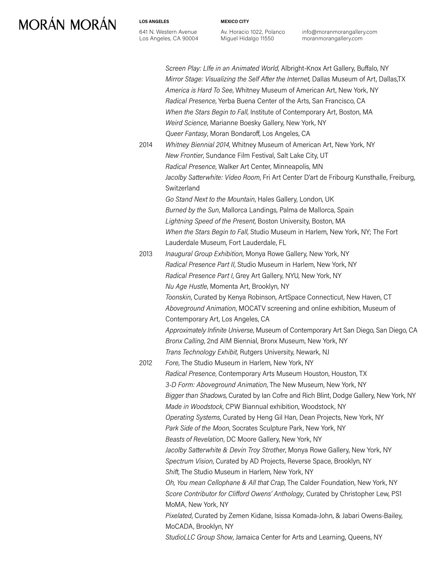#### **LOS ANGELES**

641 N. Western Avenue Los Angeles, CA 90004 **MEXICO CITY**

Av. Horacio 1022, Polanco Miguel Hidalgo 11550

info@moranmorangallery.com moranmorangallery.com

| 2014 | Screen Play: Life in an Animated World, Albright-Knox Art Gallery, Buffalo, NY<br>Mirror Stage: Visualizing the Self After the Internet, Dallas Museum of Art, Dallas, TX<br>America is Hard To See, Whitney Museum of American Art, New York, NY<br>Radical Presence, Yerba Buena Center of the Arts, San Francisco, CA<br>When the Stars Begin to Fall, Institute of Contemporary Art, Boston, MA<br>Weird Science, Marianne Boesky Gallery, New York, NY<br>Queer Fantasy, Moran Bondaroff, Los Angeles, CA<br>Whitney Biennial 2014, Whitney Museum of American Art, New York, NY<br>New Frontier, Sundance Film Festival, Salt Lake City, UT<br>Radical Presence, Walker Art Center, Minneapolis, MN |
|------|-----------------------------------------------------------------------------------------------------------------------------------------------------------------------------------------------------------------------------------------------------------------------------------------------------------------------------------------------------------------------------------------------------------------------------------------------------------------------------------------------------------------------------------------------------------------------------------------------------------------------------------------------------------------------------------------------------------|
|      | Jacolby Satterwhite: Video Room, Fri Art Center D'art de Fribourg Kunsthalle, Freiburg,<br>Switzerland<br>Go Stand Next to the Mountain, Hales Gallery, London, UK<br>Burned by the Sun, Mallorca Landings, Palma de Mallorca, Spain                                                                                                                                                                                                                                                                                                                                                                                                                                                                      |
|      | Lightning Speed of the Present, Boston University, Boston, MA<br>When the Stars Begin to Fall, Studio Museum in Harlem, New York, NY; The Fort                                                                                                                                                                                                                                                                                                                                                                                                                                                                                                                                                            |
| 2013 | Lauderdale Museum, Fort Lauderdale, FL<br>Inaugural Group Exhibition, Monya Rowe Gallery, New York, NY                                                                                                                                                                                                                                                                                                                                                                                                                                                                                                                                                                                                    |
|      | Radical Presence Part II, Studio Museum in Harlem, New York, NY                                                                                                                                                                                                                                                                                                                                                                                                                                                                                                                                                                                                                                           |
|      | Radical Presence Part I, Grey Art Gallery, NYU, New York, NY<br>Nu Age Hustle, Momenta Art, Brooklyn, NY                                                                                                                                                                                                                                                                                                                                                                                                                                                                                                                                                                                                  |
|      | Toonskin, Curated by Kenya Robinson, ArtSpace Connecticut, New Haven, CT                                                                                                                                                                                                                                                                                                                                                                                                                                                                                                                                                                                                                                  |
|      | Aboveground Animation, MOCATV screening and online exhibition, Museum of<br>Contemporary Art, Los Angeles, CA                                                                                                                                                                                                                                                                                                                                                                                                                                                                                                                                                                                             |
|      | Approximately Infinite Universe, Museum of Contemporary Art San Diego, San Diego, CA<br>Bronx Calling, 2nd AIM Biennial, Bronx Museum, New York, NY                                                                                                                                                                                                                                                                                                                                                                                                                                                                                                                                                       |
|      | Trans Technology Exhibit, Rutgers University, Newark, NJ                                                                                                                                                                                                                                                                                                                                                                                                                                                                                                                                                                                                                                                  |
| 2012 | Fore, The Studio Museum in Harlem, New York, NY                                                                                                                                                                                                                                                                                                                                                                                                                                                                                                                                                                                                                                                           |
|      | Radical Presence, Contemporary Arts Museum Houston, Houston, TX                                                                                                                                                                                                                                                                                                                                                                                                                                                                                                                                                                                                                                           |
|      | 3-D Form: Aboveground Animation, The New Museum, New York, NY<br>Bigger than Shadows, Curated by Ian Cofre and Rich Blint, Dodge Gallery, New York, NY                                                                                                                                                                                                                                                                                                                                                                                                                                                                                                                                                    |
|      | Made in Woodstock, CPW Biannual exhibition, Woodstock, NY                                                                                                                                                                                                                                                                                                                                                                                                                                                                                                                                                                                                                                                 |
|      | Operating Systems, Curated by Heng Gil Han, Dean Projects, New York, NY                                                                                                                                                                                                                                                                                                                                                                                                                                                                                                                                                                                                                                   |
|      | Park Side of the Moon, Socrates Sculpture Park, New York, NY                                                                                                                                                                                                                                                                                                                                                                                                                                                                                                                                                                                                                                              |
|      | Beasts of Revelation, DC Moore Gallery, New York, NY                                                                                                                                                                                                                                                                                                                                                                                                                                                                                                                                                                                                                                                      |
|      | Jacolby Satterwhite & Devin Troy Strother, Monya Rowe Gallery, New York, NY                                                                                                                                                                                                                                                                                                                                                                                                                                                                                                                                                                                                                               |
|      | Spectrum Vision, Curated by AD Projects, Reverse Space, Brooklyn, NY<br>Shift, The Studio Museum in Harlem, New York, NY                                                                                                                                                                                                                                                                                                                                                                                                                                                                                                                                                                                  |
|      | Oh, You mean Cellophane & All that Crap, The Calder Foundation, New York, NY                                                                                                                                                                                                                                                                                                                                                                                                                                                                                                                                                                                                                              |
|      | Score Contributor for Clifford Owens' Anthology, Curated by Christopher Lew, PS1                                                                                                                                                                                                                                                                                                                                                                                                                                                                                                                                                                                                                          |
|      | MoMA, New York, NY                                                                                                                                                                                                                                                                                                                                                                                                                                                                                                                                                                                                                                                                                        |
|      | Pixelated, Curated by Zemen Kidane, Isissa Komada-John, & Jabari Owens-Bailey,<br>MoCADA, Brooklyn, NY                                                                                                                                                                                                                                                                                                                                                                                                                                                                                                                                                                                                    |
|      | StudioLLC Group Show, Jamaica Center for Arts and Learning, Queens, NY                                                                                                                                                                                                                                                                                                                                                                                                                                                                                                                                                                                                                                    |
|      |                                                                                                                                                                                                                                                                                                                                                                                                                                                                                                                                                                                                                                                                                                           |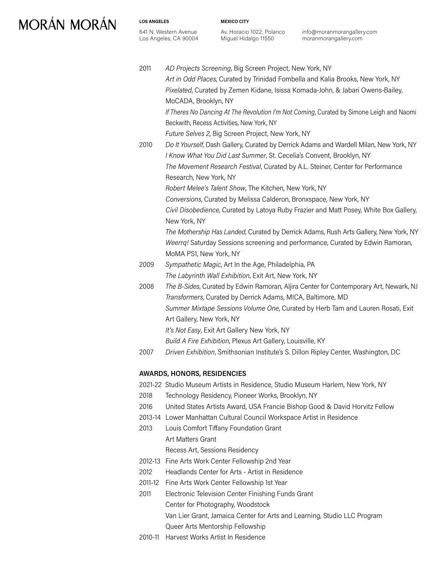**LOS ANGELES**

641 N. Western Avenue Los Angeles, CA 90004 **MEXICO CITY**

Av. Horacio 1022, Polanco Miguel Hidalgo 11550

info@moranmorangallery.com moranmorangallery.com

| 2011    | AD Projects Screening, Big Screen Project, New York, NY                                                                                              |
|---------|------------------------------------------------------------------------------------------------------------------------------------------------------|
|         | Art in Odd Places, Curated by Trinidad Fombella and Kalia Brooks, New York, NY                                                                       |
|         | Pixelated, Curated by Zemen Kidane, Isissa Komada-John, & Jabari Owens-Bailey,                                                                       |
|         | MoCADA, Brooklyn, NY                                                                                                                                 |
|         | If Theres No Dancing At The Revolution I'm Not Coming, Curated by Simone Leigh and Naomi<br>Beckwith, Recess Activities, New York, NY                |
|         | Future Selves 2, Big Screen Project, New York, NY                                                                                                    |
| 2010    | Do It Yourself, Dash Gallery, Curated by Derrick Adams and Wardell Milan, New York, NY                                                               |
|         | I Know What You Did Last Summer, St. Cecelia's Convent, Brooklyn, NY                                                                                 |
|         | The Movement Research Festival, Curated by A.L. Steiner, Center for Performance<br>Research, New York, NY                                            |
|         | Robert Melee's Talent Show, The Kitchen, New York, NY                                                                                                |
|         | Conversions, Curated by Melissa Calderon, Bronxspace, New York, NY                                                                                   |
|         | Civil Disobedience, Curated by Latoya Ruby Frazier and Matt Posey, White Box Gallery,                                                                |
|         | New York, NY                                                                                                                                         |
|         | The Mothership Has Landed, Curated by Derrick Adams, Rush Arts Gallery, New York, NY                                                                 |
|         | Weerrq! Saturday Sessions screening and performance, Curated by Edwin Ramoran,                                                                       |
|         | MoMA PS1, New York, NY                                                                                                                               |
| 2009    | Sympathetic Magic, Art In the Age, Philadelphia, PA                                                                                                  |
|         | The Labyrinth Wall Exhibition, Exit Art, New York, NY                                                                                                |
| 2008    | The B-Sides, Curated by Edwin Ramoran, Aljira Center for Contemporary Art, Newark, NJ<br>Transformers, Curated by Derrick Adams, MICA, Baltimore, MD |
|         | Summer Mixtape Sessions Volume One, Curated by Herb Tam and Lauren Rosati, Exit                                                                      |
|         | Art Gallery, New York, NY                                                                                                                            |
|         | It's Not Easy, Exit Art Gallery New York, NY                                                                                                         |
|         | Build A Fire Exhibition, Plexus Art Gallery, Louisville, KY                                                                                          |
| 2007    | Driven Exhibition, Smithsonian Institute's S. Dillon Ripley Center, Washington, DC                                                                   |
|         | <b>AWARDS, HONORS, RESIDENCIES</b>                                                                                                                   |
|         | 2021-22 Studio Museum Artists in Residence, Studio Museum Harlem, New York, NY                                                                       |
| 2018    | Technology Residency, Pioneer Works, Brooklyn, NY                                                                                                    |
| 2016    | United States Artists Award, USA Francie Bishop Good & David Horvitz Fellow                                                                          |
| 2013-14 | Lower Manhattan Cultural Council Workspace Artist in Residence                                                                                       |
| 2013    | Louis Comfort Tiffany Foundation Grant                                                                                                               |
|         | Art Matters Grant                                                                                                                                    |

Recess Art, Sessions Residency

- 2012-13 Fine Arts Work Center Fellowship 2nd Year
- 2012 Headlands Center for Arts Artist in Residence
- 2011-12 Fine Arts Work Center Fellowship 1st Year
- 2011 Electronic Television Center Finishing Funds Grant Center for Photography, Woodstock Van Lier Grant, Jamaica Center for Arts and Learning, Studio LLC Program Queer Arts Mentorship Fellowship
- 2010-11 Harvest Works Artist In Residence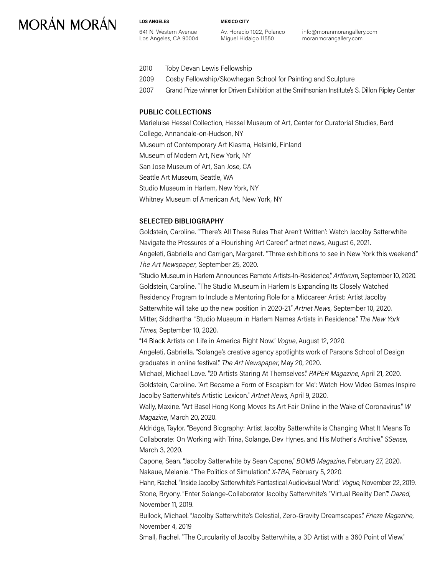**LOS ANGELES** 641 N. Western Avenue Los Angeles, CA 90004 **MEXICO CITY**

Av. Horacio 1022, Polanco Miguel Hidalgo 11550

info@moranmorangallery.com moranmorangallery.com

- 2010 Toby Devan Lewis Fellowship
- 2009 Cosby Fellowship/Skowhegan School for Painting and Sculpture
- 2007 Grand Prize winner for Driven Exhibition at the Smithsonian Institute's S. Dillon Ripley Center

### **PUBLIC COLLECTIONS**

Marieluise Hessel Collection, Hessel Museum of Art, Center for Curatorial Studies, Bard College, Annandale-on-Hudson, NY Museum of Contemporary Art Kiasma, Helsinki, Finland Museum of Modern Art, New York, NY San Jose Museum of Art, San Jose, CA Seattle Art Museum, Seattle, WA Studio Museum in Harlem, New York, NY Whitney Museum of American Art, New York, NY

#### **SELECTED BIBLIOGRAPHY**

Goldstein, Caroline. "'There's All These Rules That Aren't Written': Watch Jacolby Satterwhite Navigate the Pressures of a Flourishing Art Career." artnet news, August 6, 2021. Angeleti, Gabriella and Carrigan, Margaret. "Three exhibitions to see in New York this weekend." *The Art Newspaper*, September 25, 2020.

"Studio Museum in Harlem Announces Remote Artists-In-Residence," *Artforum*, September 10, 2020. Goldstein, Caroline. "The Studio Museum in Harlem Is Expanding Its Closely Watched Residency Program to Include a Mentoring Role for a Midcareer Artist: Artist Jacolby Satterwhite will take up the new position in 2020-21." *Artnet News*, September 10, 2020. Mitter, Siddhartha. "Studio Museum in Harlem Names Artists in Residence." *The New York Times*, September 10, 2020.

"14 Black Artists on Life in America Right Now." *Vogue*, August 12, 2020.

Angeleti, Gabriella. "Solange's creative agency spotlights work of Parsons School of Design graduates in online festival." *The Art Newspaper*, May 20, 2020.

Michael, Michael Love. "20 Artists Staring At Themselves." *PAPER Magazine*, April 21, 2020. Goldstein, Caroline. "Art Became a Form of Escapism for Me': Watch How Video Games Inspire Jacolby Satterwhite's Artistic Lexicon." *Artnet News*, April 9, 2020.

Wally, Maxine. "Art Basel Hong Kong Moves Its Art Fair Online in the Wake of Coronavirus." *W Magazine*, March 20, 2020.

Aldridge, Taylor. "Beyond Biography: Artist Jacolby Satterwhite is Changing What It Means To Collaborate: On Working with Trina, Solange, Dev Hynes, and His Mother's Archive." *SSense*, March 3, 2020.

Capone, Sean. "Jacolby Satterwhite by Sean Capone," *BOMB Magazine*, February 27, 2020. Nakaue, Melanie. "The Politics of Simulation." *X-TRA*, February 5, 2020.

Hahn, Rachel. "Inside Jacolby Satterwhite's Fantastical Audiovisual World." *Vogue*, November 22, 2019. Stone, Bryony. "Enter Solange-Collaborator Jacolby Satterwhite's "Virtual Reality Den"." *Dazed*, November 11, 2019.

Bullock, Michael. "Jacolby Satterwhite's Celestial, Zero-Gravity Dreamscapes." *Frieze Magazine*, November 4, 2019

Small, Rachel. "The Curcularity of Jacolby Satterwhite, a 3D Artist with a 360 Point of View."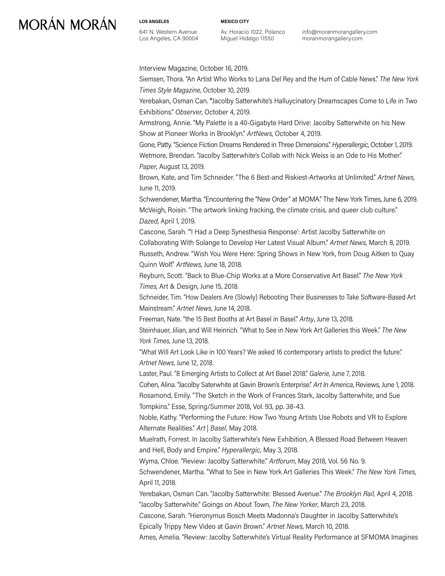**LOS ANGELES** 641 N. Western Avenue Los Angeles, CA 90004 **MEXICO CITY**

Av. Horacio 1022, Polanco Miguel Hidalgo 11550

info@moranmorangallery.com moranmorangallery.com

Interview Magazine, October 16, 2019.

Siemsen, Thora. "An Artist Who Works to Lana Del Rey and the Hum of Cable News." *The New York Times Style Magazine*, October 10, 2019.

Yerebakan, Osman Can. **"**Jacolby Satterwhite's Halluycinatory Dreamscapes Come to Life in Two Exhibitions." *Observer*, October 4, 2019.

Armstrong, Annie. "My Palette is a 40-Gigabyte Hard Drive: Jacolby Satterwhite on his New Show at Pioneer Works in Brooklyn." *ArtNews*, October 4, 2019.

Gone, Patty. "Science Fiction Dreams Rendered in Three Dimensions." *Hyperallergic*, October 1, 2019. Wetmore, Brendan. "Jacolby Satterwhite's Collab with Nick Weiss is an Ode to His Mother." *Paper*, August 13, 2019.

Brown, Kate, and Tim Schneider. "The 6 Best-and Riskiest-Artworks at Unlimited." *Artnet News*, June 11, 2019.

Schwendener, Martha. "Encountering the "New Order" at MOMA." The New York Times, June 6, 2019. McVeigh, Roisin. "The artwork linking fracking, the climate crisis, and queer club culture." *Dazed*, April 1, 2019.

Cascone, Sarah. "'I Had a Deep Synesthesia Response': Artist Jacolby Satterwhite on Collaborating With Solange to Develop Her Latest Visual Album." *Artnet News*, March 8, 2019. Russeth, Andrew. "Wish You Were Here: Spring Shows in New York, from Doug Aitken to Quay Quinn Wolf." *ArtNews*, June 18, 2018.

Reyburn, Scott. "Back to Blue-Chip Works at a More Conservative Art Basel." *The New York Times*, Art & Design, June 15, 2018.

Schneider, Tim. "How Dealers Are (Slowly) Rebooting Their Businesses to Take Software-Based Art Mainstream." *Artnet News*, June 14, 2018.

Freeman, Nate. "the 15 Best Booths at Art Basel in Basel." *Artsy*, June 13, 2018.

Steinhauer, Jilian, and Will Heinrich. "What to See in New York Art Galleries this Week." *The New York Times*, June 13, 2018.

"What Will Art Look Like in 100 Years? We asked 16 contemporary artists to predict the future." *Artnet News*, June 12, 2018.

Laster, Paul. "8 Emerging Artists to Collect at Art Basel 2018." *Galerie*, June 7, 2018.

Cohen, Alina. "Jacolby Saterwhite at Gavin Brown's Enterprise." *Art In America*, Reviews, June 1, 2018. Rosamond, Emily. "The Sketch in the Work of Frances Stark, Jacolby Satterwhite, and Sue Tompkins." Esse, Spring/Summer 2018, Vol. 93, pp. 38-43.

Noble, Kathy. "Performing the Future: How Two Young Artists Use Robots and VR to Explore Alternate Realities." *Art | Basel*, May 2018.

Muelrath, Forrest. In Jacolby Satterwhite's New Exhibition, A Blessed Road Between Heaven and Hell, Body and Empire." *Hyperallergic,* May 3, 2018.

Wyma, Chloe. "Review: Jacolby Satterwhite." *Artforum*, May 2018, Vol. 56 No. 9.

Schwendener, Martha. "What to See in New York Art Galleries This Week." *The New York Times*, April 11, 2018.

Yerebakan, Osman Can. "Jacolby Satterwhite: Blessed Avenue." *The Brooklyn Rail*, April 4, 2018. "Jacolby Satterwhite." Goings on About Town, *The New Yorker*, March 23, 2018.

Cascone, Sarah. "Hieronymus Bosch Meets Madonna's Daughter in Jacolby Satterwhite's Epically Trippy New Video at Gavin Brown." *Artnet News*, March 10, 2018.

Ames, Amelia. "Review: Jacolby Satterwhite's Virtual Reality Performance at SFMOMA Imagines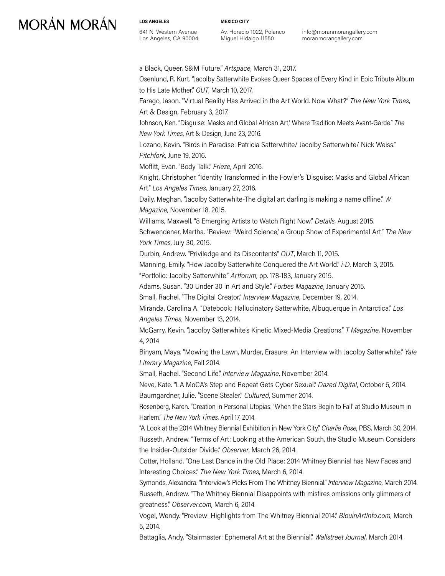**LOS ANGELES** 641 N. Western Avenue Los Angeles, CA 90004 **MEXICO CITY**

Av. Horacio 1022, Polanco Miguel Hidalgo 11550

info@moranmorangallery.com moranmorangallery.com

a Black, Queer, S&M Future." *Artspace*, March 31, 2017. Osenlund, R. Kurt. "Jacolby Satterwhite Evokes Queer Spaces of Every Kind in Epic Tribute Album to His Late Mother." *OUT*, March 10, 2017. Farago, Jason. "Virtual Reality Has Arrived in the Art World. Now What?" *The New York Times*, Art & Design, February 3, 2017. Johnson, Ken. "Disguise: Masks and Global African Art,' Where Tradition Meets Avant-Garde." *The New York Times*, Art & Design, June 23, 2016. Lozano, Kevin. "Birds in Paradise: Patricia Satterwhite/ Jacolby Satterwhite/ Nick Weiss." *Pitchfork*, June 19, 2016. Moffitt, Evan. "Body Talk." *Frieze*, April 2016. Knight, Christopher. "Identity Transformed in the Fowler's 'Disguise: Masks and Global African Art." *Los Angeles Times*, January 27, 2016. Daily, Meghan. "Jacolby Satterwhite-The digital art darling is making a name offline." *W Magazine*, November 18, 2015. Williams, Maxwell. "8 Emerging Artists to Watch Right Now." *Details*, August 2015. Schwendener, Martha. "Review: 'Weird Science,' a Group Show of Experimental Art." *The New York Times*, July 30, 2015. Durbin, Andrew. "Priviledge and its Discontents" *OUT*, March 11, 2015. Manning, Emily. "How Jacolby Satterwhite Conquered the Art World." *i-D*, March 3, 2015. "Portfolio: Jacolby Satterwhite." *Artforum*, pp. 178-183, January 2015. Adams, Susan. "30 Under 30 in Art and Style." *Forbes Magazine*, January 2015. Small, Rachel. "The Digital Creator." *Interview Magazine*, December 19, 2014. Miranda, Carolina A. "Datebook: Hallucinatory Satterwhite, Albuquerque in Antarctica." *Los Angeles Times*, November 13, 2014. McGarry, Kevin. "Jacolby Satterwhite's Kinetic Mixed-Media Creations." *T Magazine*, November 4, 2014 Binyam, Maya. "Mowing the Lawn, Murder, Erasure: An Interview with Jacolby Satterwhite." *Yale Literary Magazine*, Fall 2014. Small, Rachel. "Second Life." *Interview Magazine*. November 2014. Neve, Kate. "LA MoCA's Step and Repeat Gets Cyber Sexual." *Dazed Digital*, October 6, 2014. Baumgardner, Julie. "Scene Stealer." *Cultured*, Summer 2014. Rosenberg, Karen. "Creation in Personal Utopias: 'When the Stars Begin to Fall' at Studio Museum in Harlem." *The New York Times*, April 17, 2014. "A Look at the 2014 Whitney Biennial Exhibition in New York City." *Charlie Rose*, PBS, March 30, 2014. Russeth, Andrew. "Terms of Art: Looking at the American South, the Studio Museum Considers the Insider-Outsider Divide." *Observer*, March 26, 2014. Cotter, Holland. "One Last Dance in the Old Place: 2014 Whitney Biennial has New Faces and Interesting Choices." *The New York Times*, March 6, 2014. Symonds, Alexandra. "Interview's Picks From The Whitney Biennial." *Interview Magazine*, March 2014. Russeth, Andrew. "The Whitney Biennial Disappoints with misfires omissions only glimmers of greatness." *Observer.com*, March 6, 2014. Vogel, Wendy. "Preview: Highlights from The Whitney Biennial 2014." *BlouinArtInfo.com*, March 5, 2014.

Battaglia, Andy. "Stairmaster: Ephemeral Art at the Biennial." *Wallstreet Journal*, March 2014.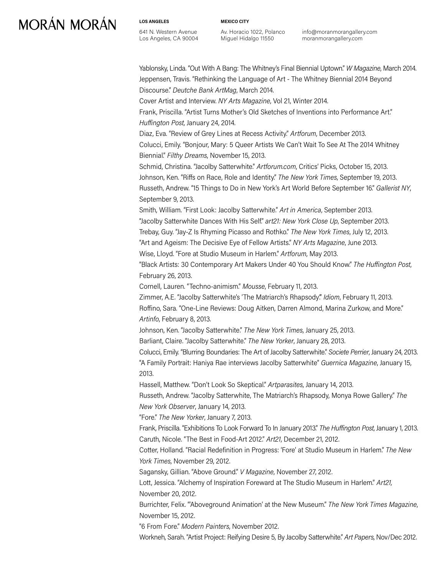**LOS ANGELES** 641 N. Western Avenue Los Angeles, CA 90004 **MEXICO CITY**

Av. Horacio 1022, Polanco Miguel Hidalgo 11550

info@moranmorangallery.com moranmorangallery.com

Yablonsky, Linda. "Out With A Bang: The Whitney's Final Biennial Uptown." *W Magazine*, March 2014. Jeppensen, Travis. "Rethinking the Language of Art - The Whitney Biennial 2014 Beyond Discourse." *Deutche Bank ArtMag*, March 2014.

Cover Artist and Interview. *NY Arts Magazine*, Vol 21, Winter 2014.

Frank, Priscilla. "Artist Turns Mother's Old Sketches of Inventions into Performance Art." *Huffington Post*, January 24, 2014.

Diaz, Eva. "Review of Grey Lines at Recess Activity." *Artforum*, December 2013. Colucci, Emily. "Bonjour, Mary: 5 Queer Artists We Can't Wait To See At The 2014 Whitney Biennial." *Filthy Dreams*, November 15, 2013.

Schmid, Christina. "Jacolby Satterwhite." *Artforum.com*, Critics' Picks, October 15, 2013. Johnson, Ken. "Riffs on Race, Role and Identity." *The New York Times*, September 19, 2013. Russeth, Andrew. "15 Things to Do in New York's Art World Before September 16." *Gallerist NY*, September 9, 2013.

Smith, William. "First Look: Jacolby Satterwhite." *Art in America*, September 2013.

"Jacolby Satterwhite Dances With His Self." *art21: New York Close Up*, September 2013.

Trebay, Guy. "Jay-Z Is Rhyming Picasso and Rothko." *The New York Times*, July 12, 2013.

"Art and Ageism: The Decisive Eye of Fellow Artists." *NY Arts Magazine*, June 2013.

Wise, Lloyd. "Fore at Studio Museum in Harlem." *Artforum*, May 2013.

"Black Artists: 30 Contemporary Art Makers Under 40 You Should Know." *The Huffington Post*, February 26, 2013.

Cornell, Lauren. "Techno-animism." *Mousse*, February 11, 2013.

Zimmer, A.E. "Jacolby Satterwhite's 'The Matriarch's Rhapsody'." *Idiom*, February 11, 2013.

Roffino, Sara. "One-Line Reviews: Doug Aitken, Darren Almond, Marina Zurkow, and More." *Artinfo*, February 8, 2013.

Johnson, Ken. "Jacolby Satterwhite." *The New York Times*, January 25, 2013.

Barliant, Claire. "Jacolby Satterwhite." *The New Yorker*, January 28, 2013.

Colucci, Emily. "Blurring Boundaries: The Art of Jacolby Satterwhite." *Societe Perrier*, January 24, 2013. "A Family Portrait: Haniya Rae interviews Jacolby Satterwhite" *Guernica Magazine*, January 15, 2013.

Hassell, Matthew. "Don't Look So Skeptical." *Artparasites*, January 14, 2013.

Russeth, Andrew. "Jacolby Satterwhite, The Matriarch's Rhapsody, Monya Rowe Gallery." *The New York Observer*, January 14, 2013.

"Fore." *The New Yorker*, January 7, 2013.

Frank, Priscilla. "Exhibitions To Look Forward To In January 2013." *The Huffington Post*, January 1, 2013. Caruth, Nicole. "The Best in Food-Art 2012." *Art21*, December 21, 2012.

Cotter, Holland. "Racial Redefinition in Progress: 'Fore' at Studio Museum in Harlem." *The New York Times*, November 29, 2012.

Sagansky, Gillian. "Above Ground." *V Magazine*, November 27, 2012.

Lott, Jessica. "Alchemy of Inspiration Foreward at The Studio Museum in Harlem." *Art21,* November 20, 2012.

Burrichter, Felix. "'Aboveground Animation' at the New Museum." *The New York Times Magazine*, November 15, 2012.

"6 From Fore." *Modern Painters*, November 2012.

Workneh, Sarah. "Artist Project: Reifying Desire 5, By Jacolby Satterwhite." *Art Papers*, Nov/Dec 2012.